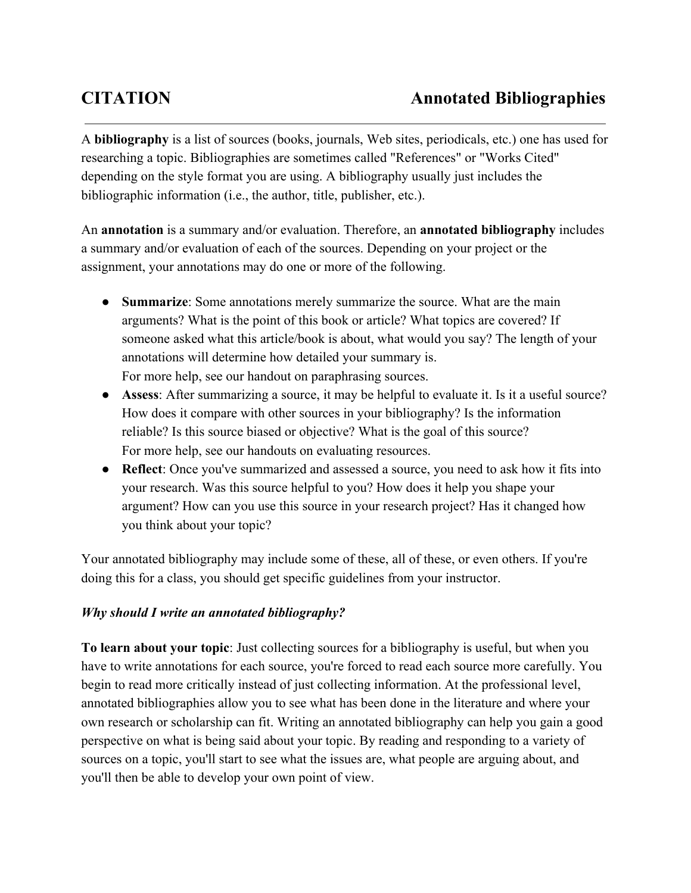A **bibliography**is a list of sources (books, journals, Web sites, periodicals, etc.) one has used for researching a topic. Bibliographies are sometimes called "References" or "Works Cited" depending on the style format you are using. A bibliography usually just includes the bibliographic information (i.e., the author, title, publisher, etc.).

An **annotation** is a summary and/or evaluation. Therefore, an **annotated bibliography** includes a summary and/or evaluation of each of the sources. Depending on your project or the assignment, your annotations may do one or more of the following.

- **Summarize**: Some annotations merely summarize the source. What are the main arguments? What is the point of this book or article? What topics are covered? If someone asked what this article/book is about, what would you say? The length of your annotations will determine how detailed your summary is. For more help, see our handout on [paraphrasing](http://www.google.com/url?q=http%3A%2F%2Fowl.english.purdue.edu%2Fowl%2Fresource%2F563%2F02%2F&sa=D&sntz=1&usg=AFQjCNFUHHCdiCA6RF8KTHTrTHaEjBR52g) sources.
- **Assess**: After summarizing a source, it may be helpful to evaluate it. Is it a useful source? How does it compare with other sources in your bibliography? Is the information reliable? Is this source biased or objective? What is the goal of this source? For more help, see our handouts on [evaluating](http://www.google.com/url?q=http%3A%2F%2Fowl.english.purdue.edu%2Fowl%2Fresource%2F553%2F03%2F&sa=D&sntz=1&usg=AFQjCNE8kDb1Hs3mHAh30jgmIpQUkpvQSA) resources.
- **Reflect**: Once you've summarized and assessed a source, you need to ask how it fits into your research. Was this source helpful to you? How does it help you shape your argument? How can you use this source in your research project? Has it changed how you think about your topic?

Your annotated bibliography may include some of these, all of these, or even others. If you're doing this for a class, you should get specific guidelines from your instructor.

## *Why should I write an annotated bibliography?*

**To learn about your topic**: Just collecting sources for a bibliography is useful, but when you have to write annotations for each source, you're forced to read each source more carefully. You begin to read more critically instead of just collecting information. At the professional level, annotated bibliographies allow you to see what has been done in the literature and where your own research or scholarship can fit. Writing an annotated bibliography can help you gain a good perspective on what is being said about your topic. By reading and responding to a variety of sources on a topic, you'll start to see what the issues are, what people are arguing about, and you'll then be able to develop your own point of view.